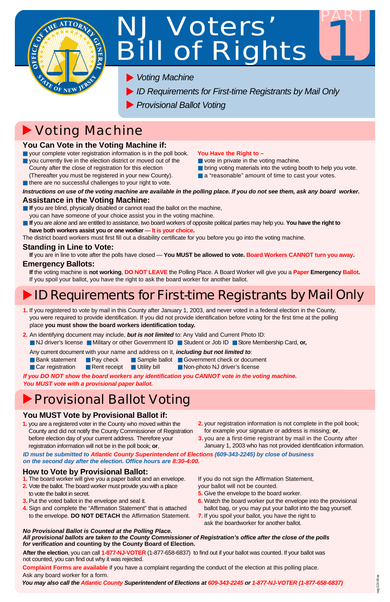

# NJ Voters' Bill of Rights

PART

1

■ a "reasonable" amount of time to cast your votes.

# Voting Machine

**1.** If you registered to vote by mail in this County after January 1, 2003, and never voted in a federal election in the County, you were required to provide identification. If you did not provide identification before voting for the first time at the polling place **you must show the board workers identification today.**

**2.** An identifying document may include, *but is not limited* to: Any Valid and Current Photo ID:

■ NJ driver's license ■ Military or other Government ID ■ Student or Job ID ■ Store Membership Card, **or,**

- **If** you are blind, physically disabled or cannot read the ballot on the machine, you can have someone of your choice assist you in the voting machine.
- If you are alone and are entitled to assistance, two board workers of opposite political parties may help you. You have the right to **have both workers assist you or one worker** — **It is your choice.**

Any current document with your name and address on it, *including but not limited to*:

- Bank statement Pay check
- Car registration Rent receipt
- Sample ballot Government check or document ■ Utility bill ■ Non-photo NJ driver's license

### **You Can Vote in the Voting Machine if:**

*Instructions on use of the voting machine are available in the polling place. If you do not see them, ask any board worker.* **Assistance in the Voting Machine:**

- your complete voter registration information is in the poll book.
- you currently live in the election district or moved out of the County after the close of registration for this election (Thereafter you must be registered in your new County).

■ there are no successful challenges to your right to vote.

The district board workers must first fill out a disability certificate for you before you go into the voting machine.

### **Standing in Line to Vote:**

**If** you are in line to vote after the polls have closed — **You MUST be allowed to vote. Board Workers CANNOT turn you away.**

### **Emergency Ballots:**

**If** the voting machine is **not working**, **DO NOT LEAVE** the Polling Place. A Board Worker will give you a **Paper Emergency Ballot.** If you spoil your ballot, you have the right to ask the board worker for another ballot.

# **ID Requirements for First-time Registrants by Mail Only**

- **5.** Give the envelope to the board worker.
- **6.** Watch the board worker put the envelope into the provisional ballot bag, or you may put your ballot into the bag yourself.
- **7.** If you spoil your ballot, you have the right to ask the boardworker for another ballot.

#### **You Have the Right to –**

- vote in private in the voting machine.
- bring voting materials into the voting booth to help you vote.

### **You MUST Vote by Provisional Ballot if:**

- **1.** you are a registered voter in the County who moved within the County and did not notify the County Commissioner of Registration before election day of your current address. Therefore your
- **2.** your registration information is not complete in the poll book; for example your signature or address is missing; **or**,
- **3.** you are a first-time registrant by mail in the County after

registration information will not be in the poll book; **or**,

January 1, 2003 who has not provided identification information.

### **How to Vote by Provisional Ballot:**

**1.** The board worker will give you a paper ballot and an envelope.

- **2.** Vote the ballot. The board worker must provide you with a place to vote the ballot in secret.
- **3.** Put the voted ballot in the envelope and seal it.
- **4.** Sign and complete the "Affirmation Statement" that is attached to the envelope. **DO NOT DETACH** the Affirmation Statement.

*If you DO NOT show the board workers any identification you CANNOT vote in the voting machine. You MUST vote with a provisional paper ballot.*

### **Provisional Ballot Voting**

#### *No Provisional Ballot is Counted at the Polling Place.*

*All provisional ballots are taken to the County Commissioner of Registration's office after the close of the polls for verification* **and counting by the County Board of Election.**

**After the election**, you can call **1-877-NJ-VOTER** (1-877-658-6837) to find out if your ballot was counted. If your ballot was not counted, you can find out why it was rejected.

If you do not sign the Affirmation Statement, your ballot will not be counted.

**Complaint Forms are available** if you have a complaint regarding the conduct of the election at this polling place. Ask any board worker for a form.

- *Voting Machine*
- *ID Requirements for First-time Registrants by Mail Only*
- *Provisional Ballot Voting*

*You may also call the Atlantic County Superintendent of Elections at 609-343-2245 or 1-877-NJ-VOTER (1-877-658-6837)*

*ID must be submitted to Atlantic County Superintendent of Elections (609-343-2245) by close of business on the second day after the election. Office hours are 8:30-4:00.*